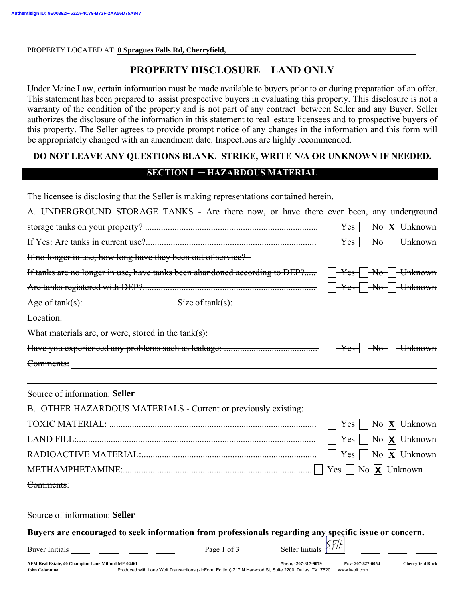PROPERTY LOCATED AT: **0 Spragues Falls Rd, Cherryfield,** 

# PROPERTY DISCLOSURE - LAND ONLY

Under Maine Law, certain information must be made available to buyers prior to or during preparation of an offer. This statement has been prepared to assist prospective buyers in evaluating this property. This disclosure is not a warranty of the condition of the property and is not part of any contract between Seller and any Buyer. Seller authorizes the disclosure of the information in this statement to real estate licensees and to prospective buyers of this property. The Seller agrees to provide prompt notice of any changes in the information and this form will be appropriately changed with an amendment date. Inspections are highly recommended.

## DO NOT LEAVE ANY QUESTIONS BLANK. STRIKE, WRITE N/A OR UNKNOWN IF NEEDED.

#### SECTION I ─ HAZARDOUS MATERIAL

The licensee is disclosing that the Seller is making representations contained herein.

| A. UNDERGROUND STORAGE TANKS - Are there now, or have there ever been, any underground                |                                                                                                                     |                     |                                                                                                                                                                                                                               |                                      |  |  |  |
|-------------------------------------------------------------------------------------------------------|---------------------------------------------------------------------------------------------------------------------|---------------------|-------------------------------------------------------------------------------------------------------------------------------------------------------------------------------------------------------------------------------|--------------------------------------|--|--|--|
|                                                                                                       |                                                                                                                     |                     |                                                                                                                                                                                                                               |                                      |  |  |  |
|                                                                                                       |                                                                                                                     |                     |                                                                                                                                                                                                                               |                                      |  |  |  |
| If no longer in use, how long have they been out of service?                                          |                                                                                                                     |                     |                                                                                                                                                                                                                               |                                      |  |  |  |
|                                                                                                       |                                                                                                                     |                     |                                                                                                                                                                                                                               |                                      |  |  |  |
|                                                                                                       |                                                                                                                     |                     |                                                                                                                                                                                                                               |                                      |  |  |  |
| Age of tank(s): Size of tank(s): Size of tank(s):                                                     |                                                                                                                     |                     |                                                                                                                                                                                                                               |                                      |  |  |  |
| Location:                                                                                             |                                                                                                                     |                     |                                                                                                                                                                                                                               |                                      |  |  |  |
| What materials are, or were, stored in the tank(s):                                                   |                                                                                                                     |                     | the control of the control of the control of the control of the control of the control of the control of the control of the control of the control of the control of the control of the control of the control of the control |                                      |  |  |  |
|                                                                                                       |                                                                                                                     |                     |                                                                                                                                                                                                                               |                                      |  |  |  |
| Comments:                                                                                             |                                                                                                                     |                     |                                                                                                                                                                                                                               |                                      |  |  |  |
| Source of information: Seller                                                                         |                                                                                                                     |                     |                                                                                                                                                                                                                               |                                      |  |  |  |
| B. OTHER HAZARDOUS MATERIALS - Current or previously existing:                                        |                                                                                                                     |                     |                                                                                                                                                                                                                               |                                      |  |  |  |
|                                                                                                       |                                                                                                                     |                     |                                                                                                                                                                                                                               | Yes     No $ \mathbf{X} $ Unknown    |  |  |  |
|                                                                                                       |                                                                                                                     |                     |                                                                                                                                                                                                                               | Yes $\Box$ No $\angle$ Unknown       |  |  |  |
|                                                                                                       |                                                                                                                     |                     |                                                                                                                                                                                                                               | Yes $\Box$ No $\overline{X}$ Unknown |  |  |  |
|                                                                                                       |                                                                                                                     |                     |                                                                                                                                                                                                                               |                                      |  |  |  |
| Comments:                                                                                             |                                                                                                                     |                     |                                                                                                                                                                                                                               |                                      |  |  |  |
| Source of information: Seller                                                                         |                                                                                                                     |                     |                                                                                                                                                                                                                               |                                      |  |  |  |
| Buyers are encouraged to seek information from professionals regarding any specific issue or concern. |                                                                                                                     |                     |                                                                                                                                                                                                                               |                                      |  |  |  |
|                                                                                                       | Page 1 of 3                                                                                                         | Seller Initials     |                                                                                                                                                                                                                               |                                      |  |  |  |
| AFM Real Estate, 40 Champion Lane Milford ME 04461<br><b>John Colannino</b>                           | Produced with Lone Wolf Transactions (zipForm Edition) 717 N Harwood St, Suite 2200, Dallas, TX 75201 www.lwolf.com | Phone: 207-817-9079 | Fax: 207-827-0054                                                                                                                                                                                                             | <b>Cherryfield Rock</b>              |  |  |  |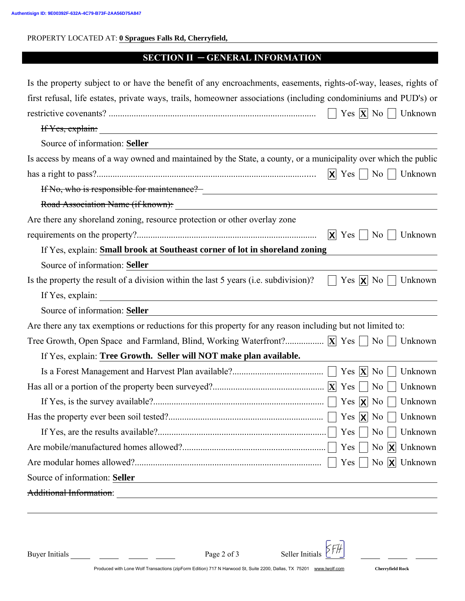PROPERTY LOCATED AT: **0 Spragues Falls Rd, Cherryfield,** 

### SECTION II ─ GENERAL INFORMATION

| Is the property subject to or have the benefit of any encroachments, easements, rights-of-way, leases, rights of                                 |
|--------------------------------------------------------------------------------------------------------------------------------------------------|
| first refusal, life estates, private ways, trails, homeowner associations (including condominiums and PUD's) or                                  |
| Yes $ \mathbf{X} $ No $ $<br>Unknown                                                                                                             |
| If Yes, explain:                                                                                                                                 |
| Source of information: Seller                                                                                                                    |
| Is access by means of a way owned and maintained by the State, a county, or a municipality over which the public                                 |
| $ \mathbf{X} $ Yes $  \cdot  $<br>$\overline{N_0}$<br>Unknown                                                                                    |
| If No, who is responsible for maintenance? [16]                                                                                                  |
| Road Association Name (if known):                                                                                                                |
| Are there any shoreland zoning, resource protection or other overlay zone                                                                        |
| $ X $ Yes  <br>Unknown<br>No                                                                                                                     |
| If Yes, explain: Small brook at Southeast corner of lot in shoreland zoning                                                                      |
| Source of information: Seller                                                                                                                    |
| Is the property the result of a division within the last 5 years (i.e. subdivision)?<br>Yes $ X $ No  <br>Unknown                                |
|                                                                                                                                                  |
| Source of information: Seller                                                                                                                    |
| Are there any tax exemptions or reductions for this property for any reason including but not limited to:                                        |
| Unknown                                                                                                                                          |
| If Yes, explain: Tree Growth. Seller will NOT make plan available.                                                                               |
| Yes $ \mathbf{X} $ No<br>Unknown                                                                                                                 |
| N <sub>0</sub><br>Unknown                                                                                                                        |
| Yes $ \mathbf{X} $ No<br>Unknown                                                                                                                 |
|                                                                                                                                                  |
| $Yes \mid$<br>$\overline{N_0}$<br>Unknown                                                                                                        |
| $Yes \mid$<br>No $X$ Unknown                                                                                                                     |
| No $X$ Unknown<br>$Yes \mid$                                                                                                                     |
| Source of information: Seller                                                                                                                    |
| Additional Information:<br><u> 1980 - Johann Barn, mars ann an t-Amhain Aonaich an t-Aonaich an t-Aonaich an t-Aonaich an t-Aonaich an t-Aon</u> |
|                                                                                                                                                  |